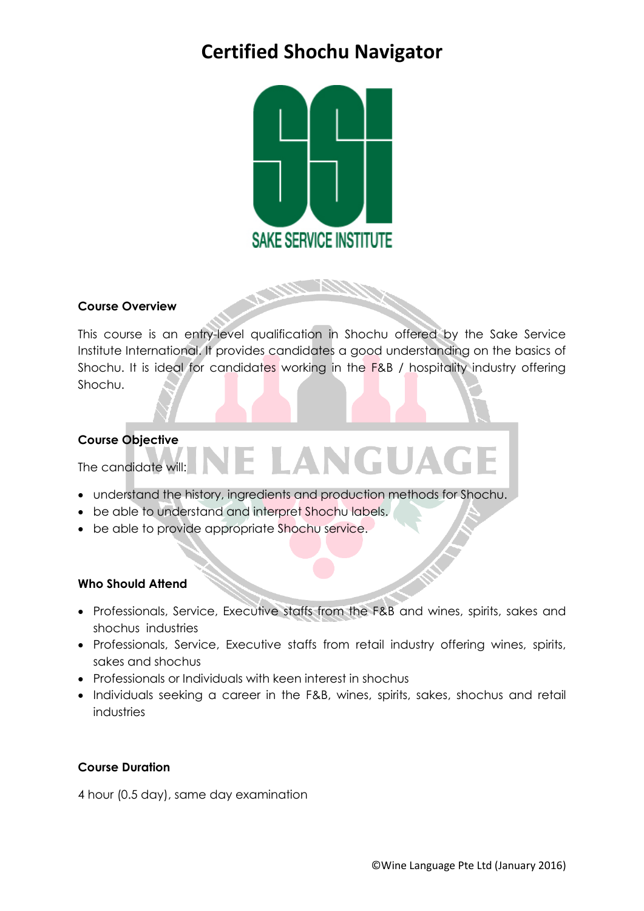## **Certified Shochu Navigator**



## **Course Overview**

This course is an entry-level qualification in Shochu offered by the Sake Service Institute International. It provides candidates a good understanding on the basics of Shochu. It is ideal for candidates working in the F&B / hospitality industry offering Shochu.

LANGUA

#### **Course Objective**

The candidate will:

- understand the history, ingredients and production methods for Shochu.
- be able to understand and interpret Shochu labels.
- be able to provide appropriate Shochu service.

#### **Who Should Attend**

- Professionals, Service, Executive staffs from the F&B and wines, spirits, sakes and shochus industries
- Professionals, Service, Executive staffs from retail industry offering wines, spirits, sakes and shochus
- Professionals or Individuals with keen interest in shochus
- Individuals seeking a career in the F&B, wines, spirits, sakes, shochus and retail industries

### **Course Duration**

4 hour (0.5 day), same day examination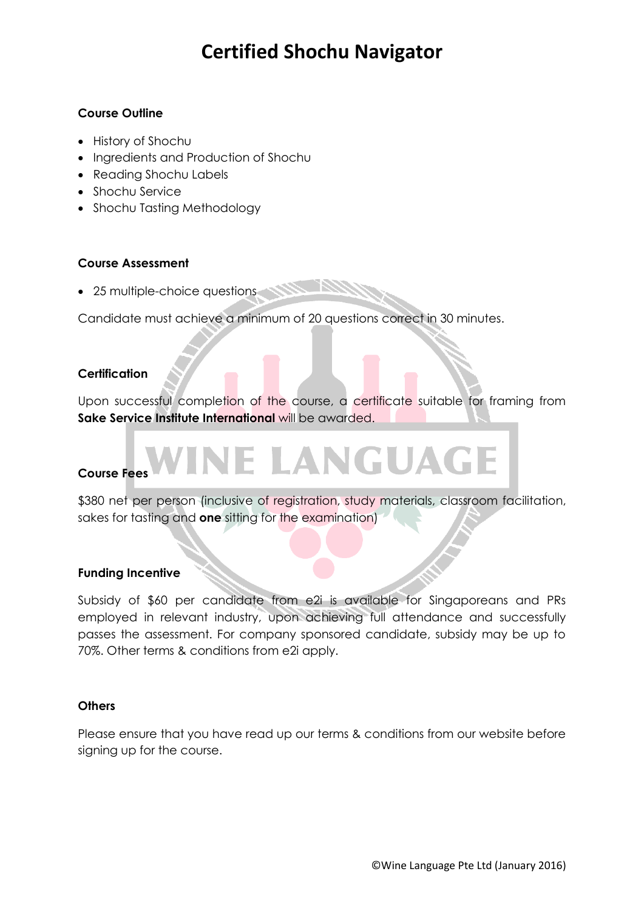## **Certified Shochu Navigator**

### **Course Outline**

- History of Shochu
- Ingredients and Production of Shochu
- Reading Shochu Labels
- Shochu Service
- Shochu Tasting Methodology

### **Course Assessment**

• 25 multiple-choice questions

Candidate must achieve a minimum of 20 questions correct in 30 minutes.

### **Certification**

Upon successful completion of the course, a certificate suitable for framing from **Sake Service Institute International** will be awarded.

## **Course Fees**

\$380 net per person (inclusive of registration, study materials, classroom facilitation, sakes for tasting and **one** sitting for the examination)

LANGUAGE

### **Funding Incentive**

Subsidy of \$60 per candidate from e2i is available for Singaporeans and PRs employed in relevant industry, upon achieving full attendance and successfully passes the assessment. For company sponsored candidate, subsidy may be up to 70%. Other terms & conditions from e2i apply.

#### **Others**

Please ensure that you have read up our terms & conditions from our website before signing up for the course.